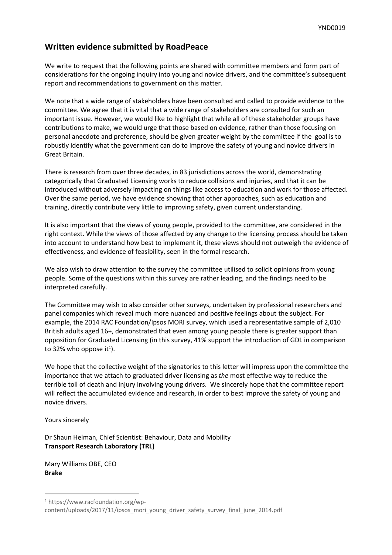## **Written evidence submitted by RoadPeace**

We write to request that the following points are shared with committee members and form part of considerations for the ongoing inquiry into young and novice drivers, and the committee's subsequent report and recommendations to government on this matter.

We note that a wide range of stakeholders have been consulted and called to provide evidence to the committee. We agree that it is vital that a wide range of stakeholders are consulted for such an important issue. However, we would like to highlight that while all of these stakeholder groups have contributions to make, we would urge that those based on evidence, rather than those focusing on personal anecdote and preference, should be given greater weight by the committee if the goal is to robustly identify what the government can do to improve the safety of young and novice drivers in Great Britain.

There is research from over three decades, in 83 jurisdictions across the world, demonstrating categorically that Graduated Licensing works to reduce collisions and injuries, and that it can be introduced without adversely impacting on things like access to education and work for those affected. Over the same period, we have evidence showing that other approaches, such as education and training, directly contribute very little to improving safety, given current understanding.

It is also important that the views of young people, provided to the committee, are considered in the right context. While the views of those affected by any change to the licensing process should be taken into account to understand how best to implement it, these views should not outweigh the evidence of effectiveness, and evidence of feasibility, seen in the formal research.

We also wish to draw attention to the survey the committee utilised to solicit opinions from young people. Some of the questions within this survey are rather leading, and the findings need to be interpreted carefully.

The Committee may wish to also consider other surveys, undertaken by professional researchers and panel companies which reveal much more nuanced and positive feelings about the subject. For example, the 2014 RAC Foundation/Ipsos MORI survey, which used a representative sample of 2,010 British adults aged 16+, demonstrated that even among young people there is greater support than opposition for Graduated Licensing (in this survey, 41% support the introduction of GDL in comparison to 32% who oppose it<sup>1</sup>).

We hope that the collective weight of the signatories to this letter will impress upon the committee the importance that we attach to graduated driver licensing as *the* most effective way to reduce the terrible toll of death and injury involving young drivers. We sincerely hope that the committee report will reflect the accumulated evidence and research, in order to best improve the safety of young and novice drivers.

Yours sincerely

Dr Shaun Helman, Chief Scientist: Behaviour, Data and Mobility **Transport Research Laboratory (TRL)**

Mary Williams OBE, CEO **Brake**

<sup>1</sup> [https://www.racfoundation.org/wp](https://www.racfoundation.org/wp-content/uploads/2017/11/ipsos_mori_young_driver_safety_survey_final_june_2014.pdf)[content/uploads/2017/11/ipsos\\_mori\\_young\\_driver\\_safety\\_survey\\_final\\_june\\_2014.pdf](https://www.racfoundation.org/wp-content/uploads/2017/11/ipsos_mori_young_driver_safety_survey_final_june_2014.pdf)